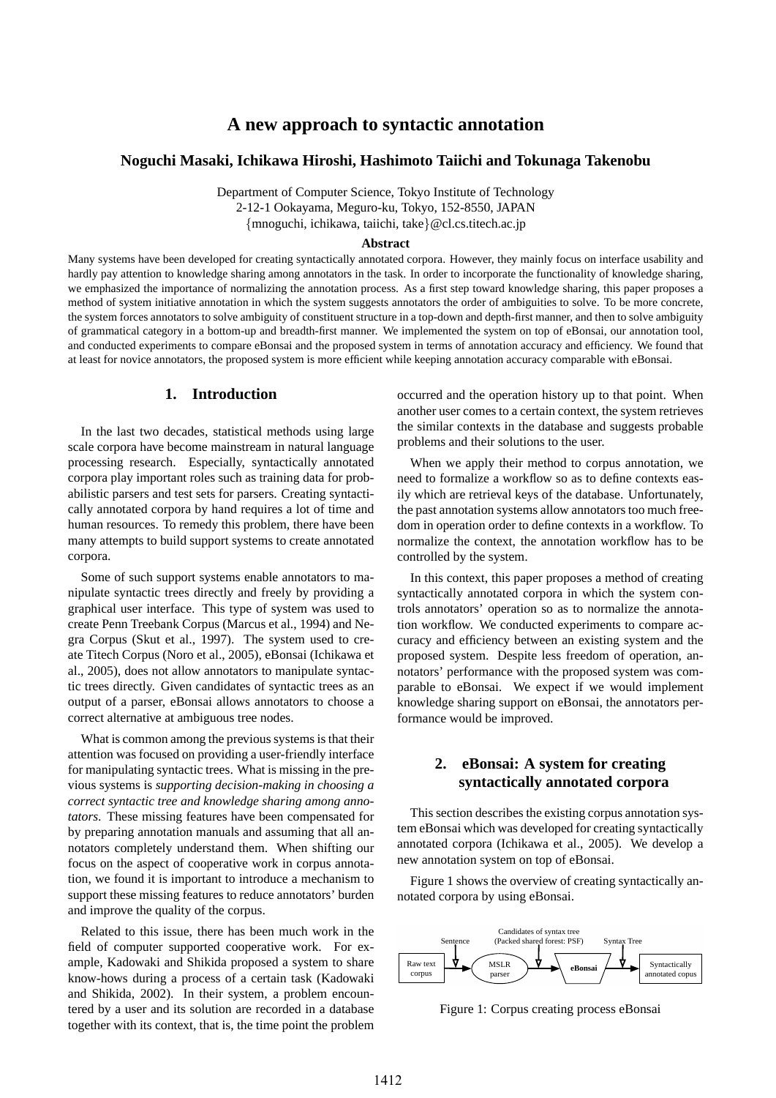# **A new approach to syntactic annotation**

# **Noguchi Masaki, Ichikawa Hiroshi, Hashimoto Taiichi and Tokunaga Takenobu**

Department of Computer Science, Tokyo Institute of Technology 2-12-1 Ookayama, Meguro-ku, Tokyo, 152-8550, JAPAN

{mnoguchi, ichikawa, taiichi, take}@cl.cs.titech.ac.jp

#### **Abstract**

Many systems have been developed for creating syntactically annotated corpora. However, they mainly focus on interface usability and hardly pay attention to knowledge sharing among annotators in the task. In order to incorporate the functionality of knowledge sharing, we emphasized the importance of normalizing the annotation process. As a first step toward knowledge sharing, this paper proposes a method of system initiative annotation in which the system suggests annotators the order of ambiguities to solve. To be more concrete, the system forces annotators to solve ambiguity of constituent structure in a top-down and depth-first manner, and then to solve ambiguity of grammatical category in a bottom-up and breadth-first manner. We implemented the system on top of eBonsai, our annotation tool, and conducted experiments to compare eBonsai and the proposed system in terms of annotation accuracy and efficiency. We found that at least for novice annotators, the proposed system is more efficient while keeping annotation accuracy comparable with eBonsai.

# **1. Introduction**

In the last two decades, statistical methods using large scale corpora have become mainstream in natural language processing research. Especially, syntactically annotated corpora play important roles such as training data for probabilistic parsers and test sets for parsers. Creating syntactically annotated corpora by hand requires a lot of time and human resources. To remedy this problem, there have been many attempts to build support systems to create annotated corpora.

Some of such support systems enable annotators to manipulate syntactic trees directly and freely by providing a graphical user interface. This type of system was used to create Penn Treebank Corpus (Marcus et al., 1994) and Negra Corpus (Skut et al., 1997). The system used to create Titech Corpus (Noro et al., 2005), eBonsai (Ichikawa et al., 2005), does not allow annotators to manipulate syntactic trees directly. Given candidates of syntactic trees as an output of a parser, eBonsai allows annotators to choose a correct alternative at ambiguous tree nodes.

What is common among the previous systems is that their attention was focused on providing a user-friendly interface for manipulating syntactic trees. What is missing in the previous systems is *supporting decision-making in choosing a correct syntactic tree and knowledge sharing among annotators*. These missing features have been compensated for by preparing annotation manuals and assuming that all annotators completely understand them. When shifting our focus on the aspect of cooperative work in corpus annotation, we found it is important to introduce a mechanism to support these missing features to reduce annotators' burden and improve the quality of the corpus.

Related to this issue, there has been much work in the field of computer supported cooperative work. For example, Kadowaki and Shikida proposed a system to share know-hows during a process of a certain task (Kadowaki and Shikida, 2002). In their system, a problem encountered by a user and its solution are recorded in a database together with its context, that is, the time point the problem occurred and the operation history up to that point. When another user comes to a certain context, the system retrieves the similar contexts in the database and suggests probable problems and their solutions to the user.

When we apply their method to corpus annotation, we need to formalize a workflow so as to define contexts easily which are retrieval keys of the database. Unfortunately, the past annotation systems allow annotators too much freedom in operation order to define contexts in a workflow. To normalize the context, the annotation workflow has to be controlled by the system.

In this context, this paper proposes a method of creating syntactically annotated corpora in which the system controls annotators' operation so as to normalize the annotation workflow. We conducted experiments to compare accuracy and efficiency between an existing system and the proposed system. Despite less freedom of operation, annotators' performance with the proposed system was comparable to eBonsai. We expect if we would implement knowledge sharing support on eBonsai, the annotators performance would be improved.

# **2. eBonsai: A system for creating syntactically annotated corpora**

This section describes the existing corpus annotation system eBonsai which was developed for creating syntactically annotated corpora (Ichikawa et al., 2005). We develop a new annotation system on top of eBonsai.

Figure 1 shows the overview of creating syntactically annotated corpora by using eBonsai.



Figure 1: Corpus creating process eBonsai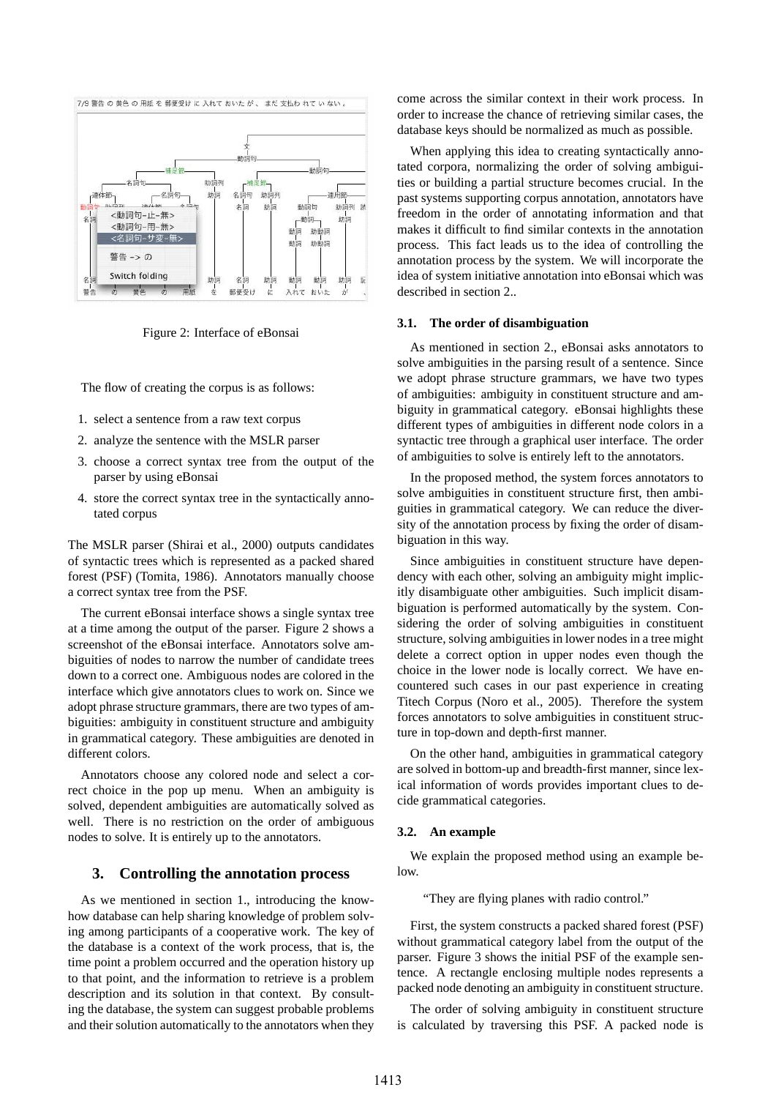

Figure 2: Interface of eBonsai

The flow of creating the corpus is as follows:

- 1. select a sentence from a raw text corpus
- 2. analyze the sentence with the MSLR parser
- 3. choose a correct syntax tree from the output of the parser by using eBonsai
- 4. store the correct syntax tree in the syntactically annotated corpus

The MSLR parser (Shirai et al., 2000) outputs candidates of syntactic trees which is represented as a packed shared forest (PSF) (Tomita, 1986). Annotators manually choose a correct syntax tree from the PSF.

The current eBonsai interface shows a single syntax tree at a time among the output of the parser. Figure 2 shows a screenshot of the eBonsai interface. Annotators solve ambiguities of nodes to narrow the number of candidate trees down to a correct one. Ambiguous nodes are colored in the interface which give annotators clues to work on. Since we adopt phrase structure grammars, there are two types of ambiguities: ambiguity in constituent structure and ambiguity in grammatical category. These ambiguities are denoted in different colors.

Annotators choose any colored node and select a correct choice in the pop up menu. When an ambiguity is solved, dependent ambiguities are automatically solved as well. There is no restriction on the order of ambiguous nodes to solve. It is entirely up to the annotators.

### **3. Controlling the annotation process**

As we mentioned in section 1., introducing the knowhow database can help sharing knowledge of problem solving among participants of a cooperative work. The key of the database is a context of the work process, that is, the time point a problem occurred and the operation history up to that point, and the information to retrieve is a problem description and its solution in that context. By consulting the database, the system can suggest probable problems and their solution automatically to the annotators when they come across the similar context in their work process. In order to increase the chance of retrieving similar cases, the database keys should be normalized as much as possible.

When applying this idea to creating syntactically annotated corpora, normalizing the order of solving ambiguities or building a partial structure becomes crucial. In the past systems supporting corpus annotation, annotators have freedom in the order of annotating information and that makes it difficult to find similar contexts in the annotation process. This fact leads us to the idea of controlling the annotation process by the system. We will incorporate the idea of system initiative annotation into eBonsai which was described in section 2..

#### **3.1. The order of disambiguation**

As mentioned in section 2., eBonsai asks annotators to solve ambiguities in the parsing result of a sentence. Since we adopt phrase structure grammars, we have two types of ambiguities: ambiguity in constituent structure and ambiguity in grammatical category. eBonsai highlights these different types of ambiguities in different node colors in a syntactic tree through a graphical user interface. The order of ambiguities to solve is entirely left to the annotators.

In the proposed method, the system forces annotators to solve ambiguities in constituent structure first, then ambiguities in grammatical category. We can reduce the diversity of the annotation process by fixing the order of disambiguation in this way.

Since ambiguities in constituent structure have dependency with each other, solving an ambiguity might implicitly disambiguate other ambiguities. Such implicit disambiguation is performed automatically by the system. Considering the order of solving ambiguities in constituent structure, solving ambiguities in lower nodes in a tree might delete a correct option in upper nodes even though the choice in the lower node is locally correct. We have encountered such cases in our past experience in creating Titech Corpus (Noro et al., 2005). Therefore the system forces annotators to solve ambiguities in constituent structure in top-down and depth-first manner.

On the other hand, ambiguities in grammatical category are solved in bottom-up and breadth-first manner, since lexical information of words provides important clues to decide grammatical categories.

### **3.2. An example**

We explain the proposed method using an example below.

"They are flying planes with radio control."

First, the system constructs a packed shared forest (PSF) without grammatical category label from the output of the parser. Figure 3 shows the initial PSF of the example sentence. A rectangle enclosing multiple nodes represents a packed node denoting an ambiguity in constituent structure.

The order of solving ambiguity in constituent structure is calculated by traversing this PSF. A packed node is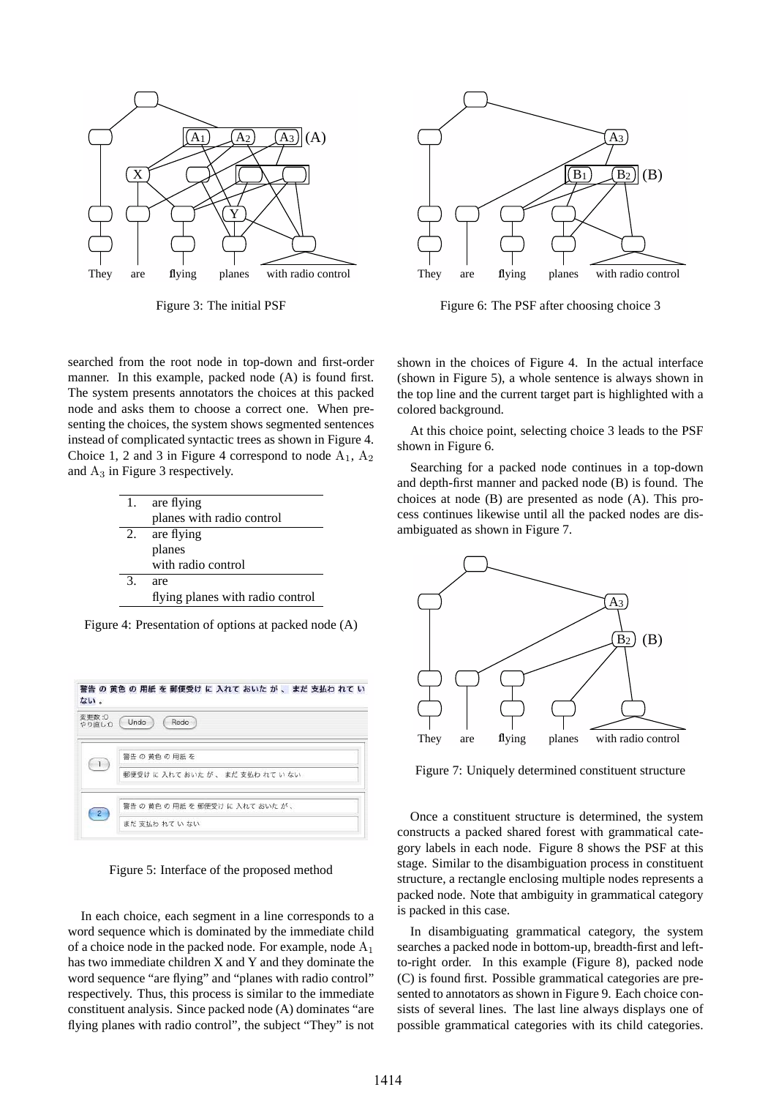

Figure 3: The initial PSF



| 1. | are flying                       |
|----|----------------------------------|
|    | planes with radio control        |
| 2. | are flying                       |
|    | planes                           |
|    | with radio control               |
| 3. | are                              |
|    | flying planes with radio control |

Figure 4: Presentation of options at packed node (A)

| ない。             |                                   |
|-----------------|-----------------------------------|
| 変更数:0<br>やり直し:0 | Undo<br>Redo                      |
|                 | 警告の 黄色の 用紙を                       |
|                 | 郵便受け に 入れて おいた が 、 まだ 支払わ れて い ない |
|                 | 警告の黄色の用紙を郵便受けに入れておいたが、            |
| $\mathbf{2}$    | まだ 支払わ れていない                      |

Figure 5: Interface of the proposed method

In each choice, each segment in a line corresponds to a word sequence which is dominated by the immediate child of a choice node in the packed node. For example, node  $A_1$ has two immediate children X and Y and they dominate the word sequence "are flying" and "planes with radio control" respectively. Thus, this process is similar to the immediate constituent analysis. Since packed node (A) dominates "are flying planes with radio control", the subject "They" is not



Figure 6: The PSF after choosing choice 3

shown in the choices of Figure 4. In the actual interface (shown in Figure 5), a whole sentence is always shown in the top line and the current target part is highlighted with a colored background.

At this choice point, selecting choice 3 leads to the PSF shown in Figure 6.

Searching for a packed node continues in a top-down and depth-first manner and packed node (B) is found. The choices at node (B) are presented as node (A). This process continues likewise until all the packed nodes are disambiguated as shown in Figure 7.



Figure 7: Uniquely determined constituent structure

Once a constituent structure is determined, the system constructs a packed shared forest with grammatical category labels in each node. Figure 8 shows the PSF at this stage. Similar to the disambiguation process in constituent structure, a rectangle enclosing multiple nodes represents a packed node. Note that ambiguity in grammatical category is packed in this case.

In disambiguating grammatical category, the system searches a packed node in bottom-up, breadth-first and leftto-right order. In this example (Figure 8), packed node (C) is found first. Possible grammatical categories are presented to annotators as shown in Figure 9. Each choice consists of several lines. The last line always displays one of possible grammatical categories with its child categories.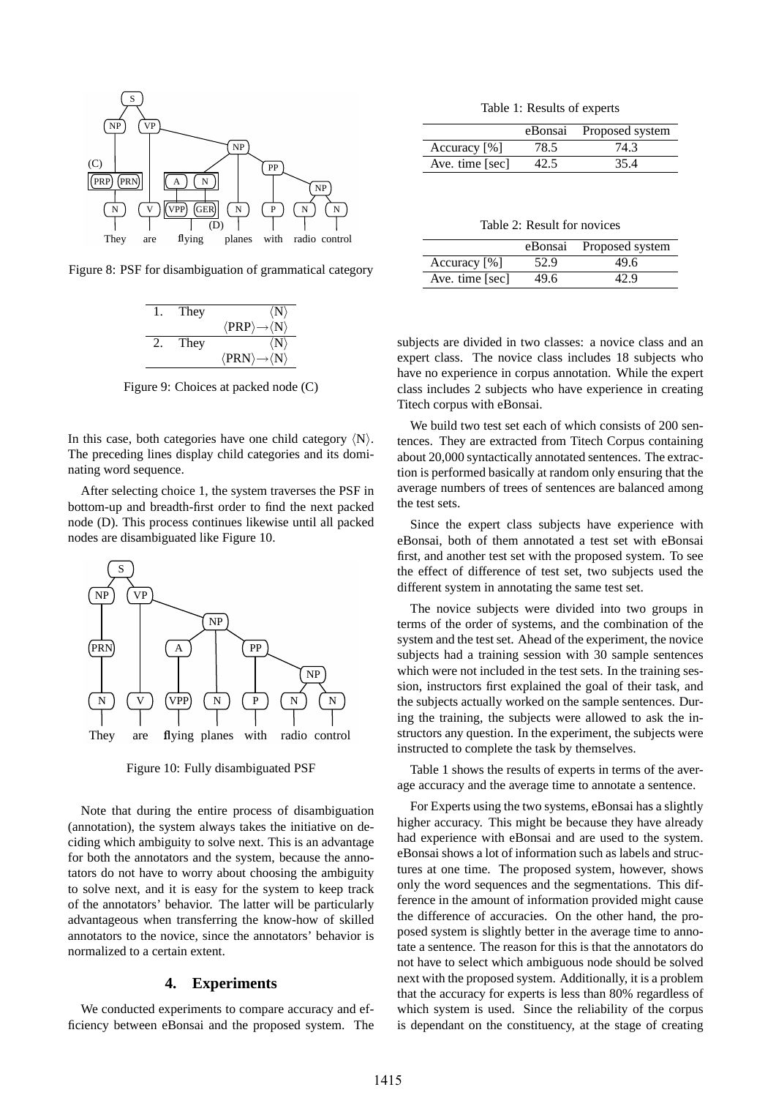

Figure 8: PSF for disambiguation of grammatical category



Figure 9: Choices at packed node (C)

In this case, both categories have one child category  $\langle N \rangle$ . The preceding lines display child categories and its dominating word sequence.

After selecting choice 1, the system traverses the PSF in bottom-up and breadth-first order to find the next packed node (D). This process continues likewise until all packed nodes are disambiguated like Figure 10.



Figure 10: Fully disambiguated PSF

Note that during the entire process of disambiguation (annotation), the system always takes the initiative on deciding which ambiguity to solve next. This is an advantage for both the annotators and the system, because the annotators do not have to worry about choosing the ambiguity to solve next, and it is easy for the system to keep track of the annotators' behavior. The latter will be particularly advantageous when transferring the know-how of skilled annotators to the novice, since the annotators' behavior is normalized to a certain extent.

# **4. Experiments**

We conducted experiments to compare accuracy and efficiency between eBonsai and the proposed system. The

Table 1: Results of experts

|                 | eBonsai | Proposed system |
|-----------------|---------|-----------------|
| Accuracy $[\%]$ | 78.5    | 74.3            |
| Ave. time [sec] | 42.5    | 35.4            |

Table 2: Result for novices

|                 | eBonsai | Proposed system |
|-----------------|---------|-----------------|
| Accuracy $[%]$  | 52.9    | 49.6            |
| Ave. time [sec] | 49.6    | 42.9            |

subjects are divided in two classes: a novice class and an expert class. The novice class includes 18 subjects who have no experience in corpus annotation. While the expert class includes 2 subjects who have experience in creating Titech corpus with eBonsai.

We build two test set each of which consists of 200 sentences. They are extracted from Titech Corpus containing about 20,000 syntactically annotated sentences. The extraction is performed basically at random only ensuring that the average numbers of trees of sentences are balanced among the test sets.

Since the expert class subjects have experience with eBonsai, both of them annotated a test set with eBonsai first, and another test set with the proposed system. To see the effect of difference of test set, two subjects used the different system in annotating the same test set.

The novice subjects were divided into two groups in terms of the order of systems, and the combination of the system and the test set. Ahead of the experiment, the novice subjects had a training session with 30 sample sentences which were not included in the test sets. In the training session, instructors first explained the goal of their task, and the subjects actually worked on the sample sentences. During the training, the subjects were allowed to ask the instructors any question. In the experiment, the subjects were instructed to complete the task by themselves.

Table 1 shows the results of experts in terms of the average accuracy and the average time to annotate a sentence.

For Experts using the two systems, eBonsai has a slightly higher accuracy. This might be because they have already had experience with eBonsai and are used to the system. eBonsai shows a lot of information such as labels and structures at one time. The proposed system, however, shows only the word sequences and the segmentations. This difference in the amount of information provided might cause the difference of accuracies. On the other hand, the proposed system is slightly better in the average time to annotate a sentence. The reason for this is that the annotators do not have to select which ambiguous node should be solved next with the proposed system. Additionally, it is a problem that the accuracy for experts is less than 80% regardless of which system is used. Since the reliability of the corpus is dependant on the constituency, at the stage of creating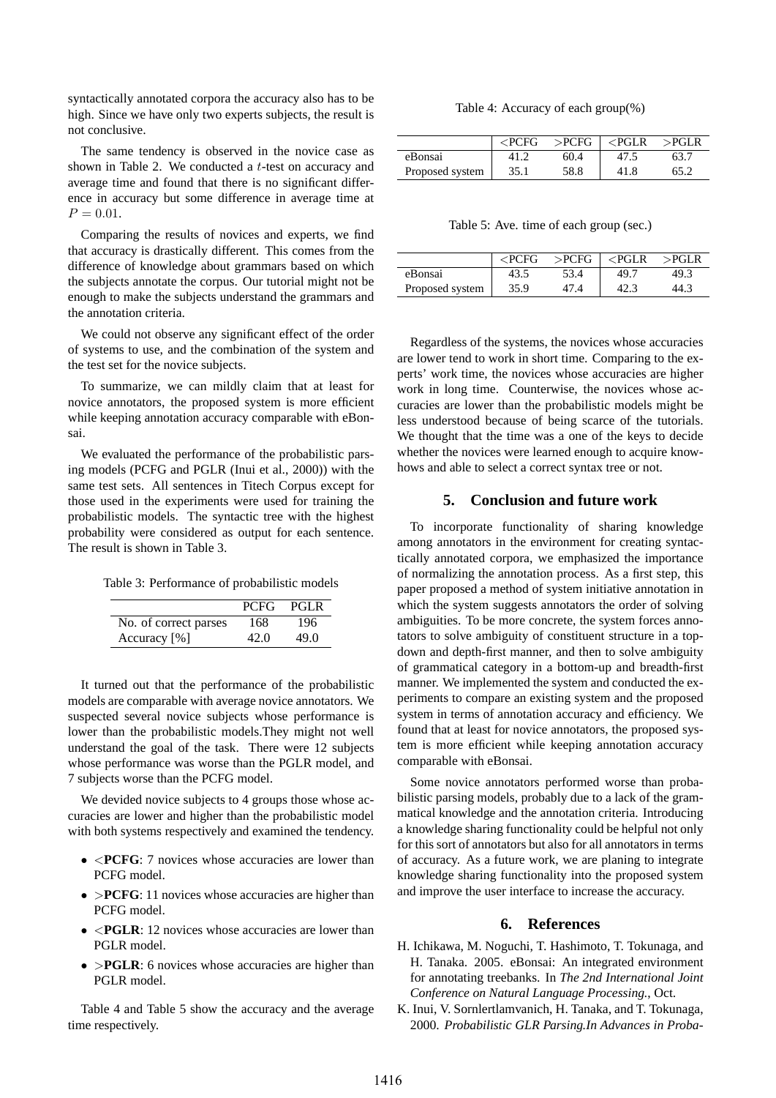syntactically annotated corpora the accuracy also has to be high. Since we have only two experts subjects, the result is not conclusive.

The same tendency is observed in the novice case as shown in Table 2. We conducted a t-test on accuracy and average time and found that there is no significant difference in accuracy but some difference in average time at  $P = 0.01$ .

Comparing the results of novices and experts, we find that accuracy is drastically different. This comes from the difference of knowledge about grammars based on which the subjects annotate the corpus. Our tutorial might not be enough to make the subjects understand the grammars and the annotation criteria.

We could not observe any significant effect of the order of systems to use, and the combination of the system and the test set for the novice subjects.

To summarize, we can mildly claim that at least for novice annotators, the proposed system is more efficient while keeping annotation accuracy comparable with eBonsai.

We evaluated the performance of the probabilistic parsing models (PCFG and PGLR (Inui et al., 2000)) with the same test sets. All sentences in Titech Corpus except for those used in the experiments were used for training the probabilistic models. The syntactic tree with the highest probability were considered as output for each sentence. The result is shown in Table 3.

Table 3: Performance of probabilistic models

|                       | PCFG. | PGLR |
|-----------------------|-------|------|
| No. of correct parses | 168   | 196  |
| Accuracy $[\%]$       | 42.0  | 49.0 |

It turned out that the performance of the probabilistic models are comparable with average novice annotators. We suspected several novice subjects whose performance is lower than the probabilistic models.They might not well understand the goal of the task. There were 12 subjects whose performance was worse than the PGLR model, and 7 subjects worse than the PCFG model.

We devided novice subjects to 4 groups those whose accuracies are lower and higher than the probabilistic model with both systems respectively and examined the tendency.

- <**PCFG**: 7 novices whose accuracies are lower than PCFG model.
- >**PCFG**: 11 novices whose accuracies are higher than PCFG model.
- <**PGLR**: 12 novices whose accuracies are lower than PGLR model.
- >**PGLR**: 6 novices whose accuracies are higher than PGLR model.

Table 4 and Table 5 show the accuracy and the average time respectively.

Table 4: Accuracy of each group(%)

|                 | $\epsilon$ PCFG | $>$ PCFG | $\leq$ PGLR | $>$ PGLR |
|-----------------|-----------------|----------|-------------|----------|
| eBonsai         |                 | 60.4     |             |          |
| Proposed system | 35.1            | 58.8     |             | 65.2     |

Table 5: Ave. time of each group (sec.)

|                 | $\epsilon$ PCFG | >PCFG | $\leq$ PGLR | $>$ PGLR |
|-----------------|-----------------|-------|-------------|----------|
| eBonsai         | 43.5            | 53.4  | 49.7        | 49.3     |
| Proposed system | 35.9            |       |             | 44.3     |

Regardless of the systems, the novices whose accuracies are lower tend to work in short time. Comparing to the experts' work time, the novices whose accuracies are higher work in long time. Counterwise, the novices whose accuracies are lower than the probabilistic models might be less understood because of being scarce of the tutorials. We thought that the time was a one of the keys to decide whether the novices were learned enough to acquire knowhows and able to select a correct syntax tree or not.

# **5. Conclusion and future work**

To incorporate functionality of sharing knowledge among annotators in the environment for creating syntactically annotated corpora, we emphasized the importance of normalizing the annotation process. As a first step, this paper proposed a method of system initiative annotation in which the system suggests annotators the order of solving ambiguities. To be more concrete, the system forces annotators to solve ambiguity of constituent structure in a topdown and depth-first manner, and then to solve ambiguity of grammatical category in a bottom-up and breadth-first manner. We implemented the system and conducted the experiments to compare an existing system and the proposed system in terms of annotation accuracy and efficiency. We found that at least for novice annotators, the proposed system is more efficient while keeping annotation accuracy comparable with eBonsai.

Some novice annotators performed worse than probabilistic parsing models, probably due to a lack of the grammatical knowledge and the annotation criteria. Introducing a knowledge sharing functionality could be helpful not only for this sort of annotators but also for all annotators in terms of accuracy. As a future work, we are planing to integrate knowledge sharing functionality into the proposed system and improve the user interface to increase the accuracy.

# **6. References**

- H. Ichikawa, M. Noguchi, T. Hashimoto, T. Tokunaga, and H. Tanaka. 2005. eBonsai: An integrated environment for annotating treebanks. In *The 2nd International Joint Conference on Natural Language Processing.*, Oct.
- K. Inui, V. Sornlertlamvanich, H. Tanaka, and T. Tokunaga, 2000. *Probabilistic GLR Parsing.In Advances in Proba-*